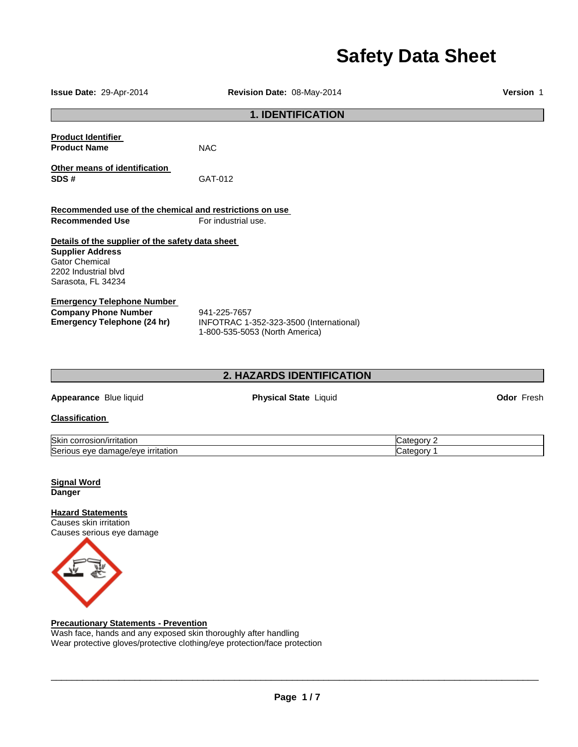# **Safety Data Sheet**

| Issue Date: 29-Apr-2014                                                                                                                            | Revision Date: 08-May-2014                                                                |            | Version 1         |
|----------------------------------------------------------------------------------------------------------------------------------------------------|-------------------------------------------------------------------------------------------|------------|-------------------|
|                                                                                                                                                    | <b>1. IDENTIFICATION</b>                                                                  |            |                   |
| <b>Product Identifier</b><br><b>Product Name</b>                                                                                                   | <b>NAC</b>                                                                                |            |                   |
| Other means of identification<br>SDS#                                                                                                              | GAT-012                                                                                   |            |                   |
| Recommended use of the chemical and restrictions on use                                                                                            |                                                                                           |            |                   |
| <b>Recommended Use</b>                                                                                                                             | For industrial use.                                                                       |            |                   |
| Details of the supplier of the safety data sheet<br><b>Supplier Address</b><br><b>Gator Chemical</b><br>2202 Industrial blvd<br>Sarasota, FL 34234 |                                                                                           |            |                   |
| <b>Emergency Telephone Number</b><br><b>Company Phone Number</b><br><b>Emergency Telephone (24 hr)</b>                                             | 941-225-7657<br>INFOTRAC 1-352-323-3500 (International)<br>1-800-535-5053 (North America) |            |                   |
|                                                                                                                                                    | 2. HAZARDS IDENTIFICATION                                                                 |            |                   |
| Appearance Blue liquid                                                                                                                             | <b>Physical State Liquid</b>                                                              |            | <b>Odor Fresh</b> |
| <b>Classification</b>                                                                                                                              |                                                                                           |            |                   |
| Skin corrosion/irritation                                                                                                                          |                                                                                           | Category 2 |                   |
| Serious eye damage/eye irritation                                                                                                                  |                                                                                           | Category 1 |                   |
| <b>Signal Word</b><br>Danger<br><b>Hazard Statements</b><br>Causes skin irritation<br>Causes serious eye damage                                    |                                                                                           |            |                   |
| <b>Precautionary Statements - Prevention</b>                                                                                                       |                                                                                           |            |                   |

Wash face, hands and any exposed skin thoroughly after handling Wear protective gloves/protective clothing/eye protection/face protection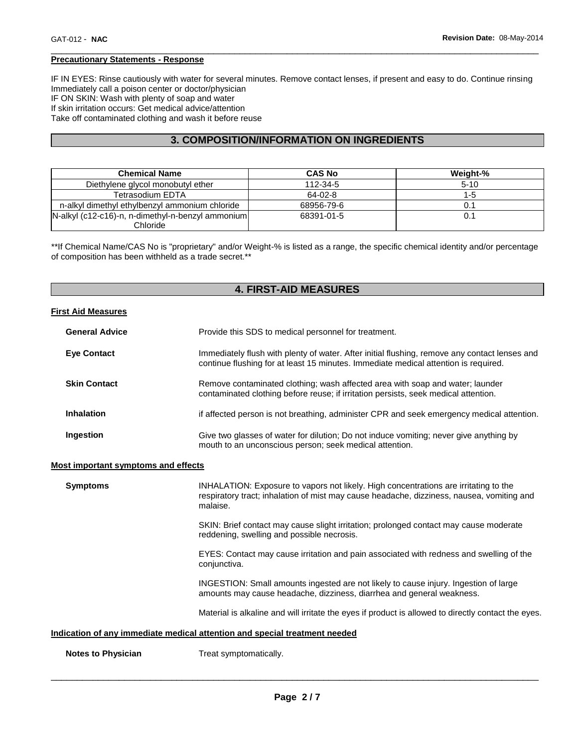## **Precautionary Statements - Response**

IF IN EYES: Rinse cautiously with water for several minutes. Remove contact lenses, if present and easy to do. Continue rinsing Immediately call a poison center or doctor/physician IF ON SKIN: Wash with plenty of soap and water If skin irritation occurs: Get medical advice/attention Take off contaminated clothing and wash it before reuse

\_\_\_\_\_\_\_\_\_\_\_\_\_\_\_\_\_\_\_\_\_\_\_\_\_\_\_\_\_\_\_\_\_\_\_\_\_\_\_\_\_\_\_\_\_\_\_\_\_\_\_\_\_\_\_\_\_\_\_\_\_\_\_\_\_\_\_\_\_\_\_\_\_\_\_\_\_\_\_\_\_\_\_\_\_\_\_\_\_\_\_\_\_

# **3. COMPOSITION/INFORMATION ON INGREDIENTS**

| <b>Chemical Name</b>                              | <b>CAS No</b> | Weight-% |
|---------------------------------------------------|---------------|----------|
| Diethylene glycol monobutyl ether                 | 112-34-5      | $5 - 10$ |
| <b>Tetrasodium EDTA</b>                           | 64-02-8       | 1-5      |
| n-alkyl dimethyl ethylbenzyl ammonium chloride    | 68956-79-6    |          |
| N-alkyl (c12-c16)-n, n-dimethyl-n-benzyl ammonium | 68391-01-5    | 0.1      |
| Chloride                                          |               |          |

\*\*If Chemical Name/CAS No is "proprietary" and/or Weight-% is listed as a range, the specific chemical identity and/or percentage of composition has been withheld as a trade secret.\*\*

## **4. FIRST-AID MEASURES**

## **First Aid Measures**

| <b>General Advice</b>              | Provide this SDS to medical personnel for treatment.                                                                                                                                 |
|------------------------------------|--------------------------------------------------------------------------------------------------------------------------------------------------------------------------------------|
| <b>Eye Contact</b>                 | Immediately flush with plenty of water. After initial flushing, remove any contact lenses and<br>continue flushing for at least 15 minutes. Immediate medical attention is required. |
| <b>Skin Contact</b>                | Remove contaminated clothing; wash affected area with soap and water; launder<br>contaminated clothing before reuse; if irritation persists, seek medical attention.                 |
| <b>Inhalation</b>                  | if affected person is not breathing, administer CPR and seek emergency medical attention.                                                                                            |
| Ingestion                          | Give two glasses of water for dilution; Do not induce vomiting; never give anything by<br>mouth to an unconscious person; seek medical attention.                                    |
| ost important symptoms and effects |                                                                                                                                                                                      |

#### **Most important symptoms and effects**

| <b>Symptoms</b> | INHALATION: Exposure to vapors not likely. High concentrations are irritating to the<br>respiratory tract; inhalation of mist may cause headache, dizziness, nausea, vomiting and<br>malaise. |
|-----------------|-----------------------------------------------------------------------------------------------------------------------------------------------------------------------------------------------|
|                 | SKIN: Brief contact may cause slight irritation; prolonged contact may cause moderate<br>reddening, swelling and possible necrosis.                                                           |
|                 | EYES: Contact may cause irritation and pain associated with redness and swelling of the<br>conjunctiva.                                                                                       |
|                 | INGESTION: Small amounts ingested are not likely to cause injury. Ingestion of large<br>amounts may cause headache, dizziness, diarrhea and general weakness.                                 |
|                 | Material is alkaline and will irritate the eyes if product is allowed to directly contact the eyes.                                                                                           |
|                 | Indication of any immediate medical attention and special treatment needed                                                                                                                    |
| .               |                                                                                                                                                                                               |

**Notes to Physician Treat symptomatically.**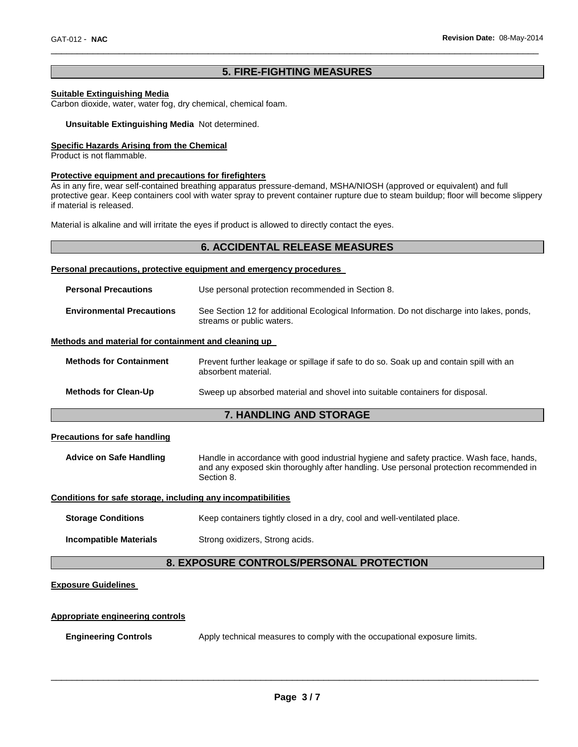## **5. FIRE-FIGHTING MEASURES**

\_\_\_\_\_\_\_\_\_\_\_\_\_\_\_\_\_\_\_\_\_\_\_\_\_\_\_\_\_\_\_\_\_\_\_\_\_\_\_\_\_\_\_\_\_\_\_\_\_\_\_\_\_\_\_\_\_\_\_\_\_\_\_\_\_\_\_\_\_\_\_\_\_\_\_\_\_\_\_\_\_\_\_\_\_\_\_\_\_\_\_\_\_

## **Suitable Extinguishing Media**

Carbon dioxide, water, water fog, dry chemical, chemical foam.

#### **Unsuitable Extinguishing Media** Not determined.

## **Specific Hazards Arising from the Chemical**

Product is not flammable.

#### **Protective equipment and precautions for firefighters**

As in any fire, wear self-contained breathing apparatus pressure-demand, MSHA/NIOSH (approved or equivalent) and full protective gear. Keep containers cool with water spray to prevent container rupture due to steam buildup; floor will become slippery if material is released.

Material is alkaline and will irritate the eyes if product is allowed to directly contact the eyes.

|                                                                     | <b>6. ACCIDENTAL RELEASE MEASURES</b>                                                                                  |  |
|---------------------------------------------------------------------|------------------------------------------------------------------------------------------------------------------------|--|
| Personal precautions, protective equipment and emergency procedures |                                                                                                                        |  |
| <b>Personal Precautions</b>                                         | Use personal protection recommended in Section 8.                                                                      |  |
| <b>Environmental Precautions</b>                                    | See Section 12 for additional Ecological Information. Do not discharge into lakes, ponds,<br>streams or public waters. |  |
| Methods and material for containment and cleaning up                |                                                                                                                        |  |
| <b>Methods for Containment</b>                                      | Prevent further leakage or spillage if safe to do so. Soak up and contain spill with an<br>absorbent material.         |  |
| <b>Methods for Clean-Up</b>                                         | Sweep up absorbed material and shovel into suitable containers for disposal.                                           |  |

## **7. HANDLING AND STORAGE**

#### **Precautions for safe handling**

**Advice on Safe Handling** Handle in accordance with good industrial hygiene and safety practice. Wash face, hands, and any exposed skin thoroughly after handling. Use personal protection recommended in Section 8.

#### **Conditions for safe storage, including any incompatibilities**

**Storage Conditions Keep containers tightly closed in a dry, cool and well-ventilated place.** 

**Incompatible Materials Strong oxidizers, Strong acids.** 

# **8. EXPOSURE CONTROLS/PERSONAL PROTECTION**

### **Exposure Guidelines**

#### **Appropriate engineering controls**

**Engineering Controls Apply technical measures to comply with the occupational exposure limits.**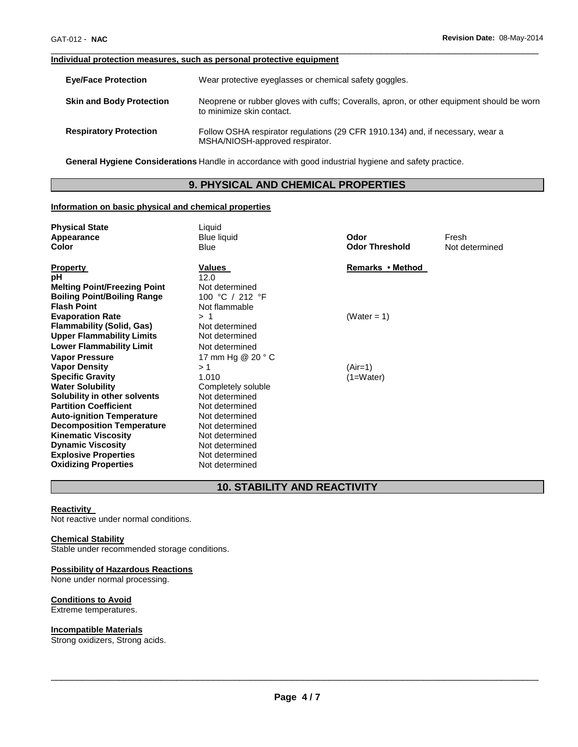#### **Individual protection measures, such as personal protective equipment**

| <b>Eye/Face Protection</b>      | Wear protective eyeglasses or chemical safety goggles.                                                                 |
|---------------------------------|------------------------------------------------------------------------------------------------------------------------|
| <b>Skin and Body Protection</b> | Neoprene or rubber gloves with cuffs; Coveralls, apron, or other equipment should be worn<br>to minimize skin contact. |
| <b>Respiratory Protection</b>   | Follow OSHA respirator regulations (29 CFR 1910.134) and, if necessary, wear a<br>MSHA/NIOSH-approved respirator.      |

\_\_\_\_\_\_\_\_\_\_\_\_\_\_\_\_\_\_\_\_\_\_\_\_\_\_\_\_\_\_\_\_\_\_\_\_\_\_\_\_\_\_\_\_\_\_\_\_\_\_\_\_\_\_\_\_\_\_\_\_\_\_\_\_\_\_\_\_\_\_\_\_\_\_\_\_\_\_\_\_\_\_\_\_\_\_\_\_\_\_\_\_\_

**General Hygiene Considerations** Handle in accordance with good industrial hygiene and safety practice.

# **9. PHYSICAL AND CHEMICAL PROPERTIES**

## **Information on basic physical and chemical properties**

| <b>Physical State</b>                                    | Liquid                            |                       |                |
|----------------------------------------------------------|-----------------------------------|-----------------------|----------------|
| Appearance                                               | <b>Blue liquid</b>                | Odor                  | Fresh          |
| Color                                                    | Blue                              | <b>Odor Threshold</b> | Not determined |
|                                                          |                                   |                       |                |
| <b>Property</b><br>pH                                    | Values<br>12.0                    | Remarks • Method      |                |
|                                                          |                                   |                       |                |
| <b>Melting Point/Freezing Point</b>                      | Not determined<br>100 °C / 212 °F |                       |                |
| <b>Boiling Point/Boiling Range</b><br><b>Flash Point</b> |                                   |                       |                |
|                                                          | Not flammable                     |                       |                |
| <b>Evaporation Rate</b>                                  | >1                                | (Water = 1)           |                |
| <b>Flammability (Solid, Gas)</b>                         | Not determined                    |                       |                |
| <b>Upper Flammability Limits</b>                         | Not determined                    |                       |                |
| <b>Lower Flammability Limit</b>                          | Not determined                    |                       |                |
| <b>Vapor Pressure</b>                                    | 17 mm Hg @ 20 ° C                 |                       |                |
| <b>Vapor Density</b>                                     | > 1                               | (Air=1)               |                |
| <b>Specific Gravity</b>                                  | 1.010                             | (1=Water)             |                |
| <b>Water Solubility</b>                                  | Completely soluble                |                       |                |
| Solubility in other solvents                             | Not determined                    |                       |                |
| <b>Partition Coefficient</b>                             | Not determined                    |                       |                |
| <b>Auto-ignition Temperature</b>                         | Not determined                    |                       |                |
| <b>Decomposition Temperature</b>                         | Not determined                    |                       |                |
| <b>Kinematic Viscosity</b>                               | Not determined                    |                       |                |
| <b>Dynamic Viscosity</b>                                 | Not determined                    |                       |                |
| <b>Explosive Properties</b>                              | Not determined                    |                       |                |
| <b>Oxidizing Properties</b>                              | Not determined                    |                       |                |

# **10. STABILITY AND REACTIVITY**

## **Reactivity**

Not reactive under normal conditions.

## **Chemical Stability**

Stable under recommended storage conditions.

## **Possibility of Hazardous Reactions**

None under normal processing.

## **Conditions to Avoid**

Extreme temperatures.

## **Incompatible Materials**

Strong oxidizers, Strong acids.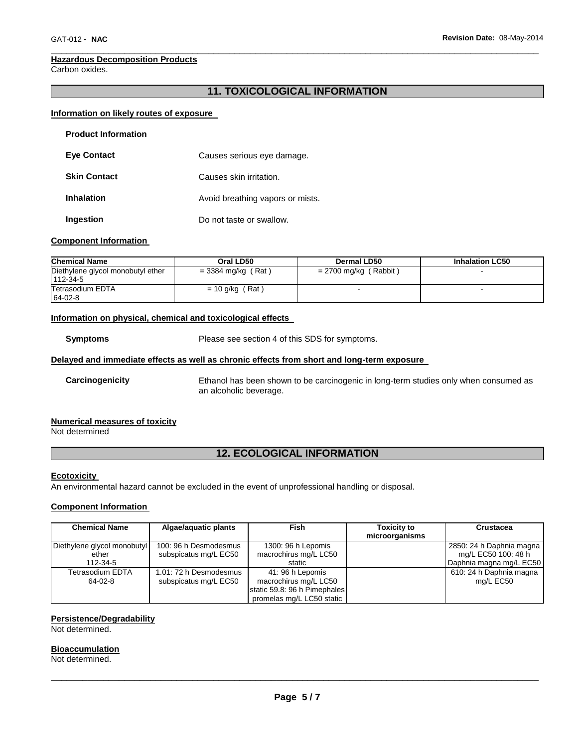#### **Hazardous Decomposition Products**

Carbon oxides.

## **11. TOXICOLOGICAL INFORMATION**

\_\_\_\_\_\_\_\_\_\_\_\_\_\_\_\_\_\_\_\_\_\_\_\_\_\_\_\_\_\_\_\_\_\_\_\_\_\_\_\_\_\_\_\_\_\_\_\_\_\_\_\_\_\_\_\_\_\_\_\_\_\_\_\_\_\_\_\_\_\_\_\_\_\_\_\_\_\_\_\_\_\_\_\_\_\_\_\_\_\_\_\_\_

## **Information on likely routes of exposure**

| <b>Product Information</b> |                                  |
|----------------------------|----------------------------------|
| <b>Eve Contact</b>         | Causes serious eye damage.       |
| <b>Skin Contact</b>        | Causes skin irritation.          |
| Inhalation                 | Avoid breathing vapors or mists. |
| Ingestion                  | Do not taste or swallow.         |

## **Component Information**

| <b>Chemical Name</b>                          | Oral LD50            | Dermal LD50             | <b>Inhalation LC50</b> |
|-----------------------------------------------|----------------------|-------------------------|------------------------|
| Diethylene glycol monobutyl ether<br>112-34-5 | $=$ 3384 mg/kg (Rat) | $= 2700$ mg/kg (Rabbit) |                        |
| Tetrasodium EDTA<br>64-02-8                   | $= 10$ g/kg (Rat)    |                         |                        |

## **Information on physical, chemical and toxicological effects**

**Symptoms** Please see section 4 of this SDS for symptoms.

## **Delayed and immediate effects as well as chronic effects from short and long-term exposure**

**Carcinogenicity** Ethanol has been shown to be carcinogenic in long-term studies only when consumed as an alcoholic beverage.

## **Numerical measures of toxicity**

Not determined

# **12. ECOLOGICAL INFORMATION**

#### **Ecotoxicity**

An environmental hazard cannot be excluded in the event of unprofessional handling or disposal.

## **Component Information**

| <b>Chemical Name</b>                             | Algae/aquatic plants                            | <b>Fish</b>                                                                                            | <b>Toxicity to</b><br>microorganisms | <b>Crustacea</b>                                                           |
|--------------------------------------------------|-------------------------------------------------|--------------------------------------------------------------------------------------------------------|--------------------------------------|----------------------------------------------------------------------------|
| Diethylene glycol monobutyl<br>ether<br>112-34-5 | 100: 96 h Desmodesmus<br>subspicatus mg/L EC50  | 1300: 96 h Lepomis<br>macrochirus mg/L LC50<br>static                                                  |                                      | 2850: 24 h Daphnia magna<br>mg/L EC50 100: 48 h<br>Daphnia magna mg/L EC50 |
| Tetrasodium EDTA<br>64-02-8                      | 1.01: 72 h Desmodesmus<br>subspicatus mg/L EC50 | 41: 96 h Lepomis<br>macrochirus mg/L LC50<br>static 59.8: 96 h Pimephales<br>promelas mg/L LC50 static |                                      | 610: 24 h Daphnia magna<br>mg/L EC50                                       |

## **Persistence/Degradability**

Not determined.

#### **Bioaccumulation**

Not determined.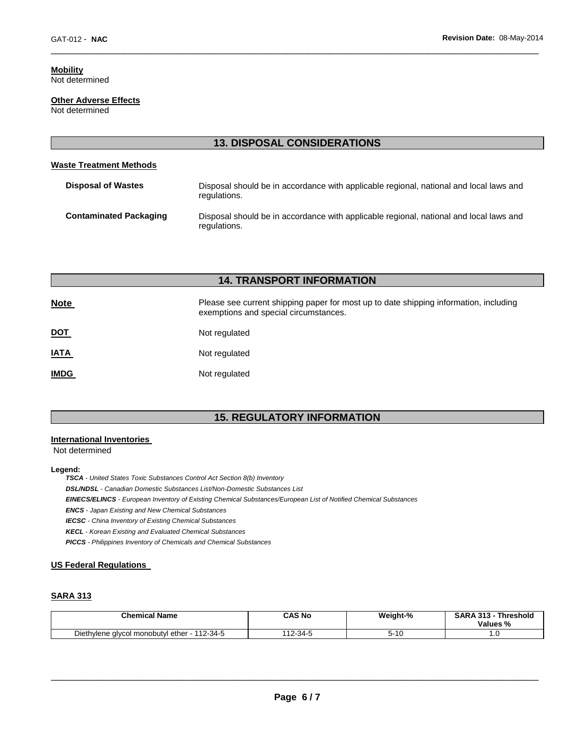# **Mobility**

Not determined

#### **Other Adverse Effects** Not determined

**13. DISPOSAL CONSIDERATIONS** 

\_\_\_\_\_\_\_\_\_\_\_\_\_\_\_\_\_\_\_\_\_\_\_\_\_\_\_\_\_\_\_\_\_\_\_\_\_\_\_\_\_\_\_\_\_\_\_\_\_\_\_\_\_\_\_\_\_\_\_\_\_\_\_\_\_\_\_\_\_\_\_\_\_\_\_\_\_\_\_\_\_\_\_\_\_\_\_\_\_\_\_\_\_

## **Waste Treatment Methods**

| <b>Disposal of Wastes</b>     | Disposal should be in accordance with applicable regional, national and local laws and<br>regulations. |
|-------------------------------|--------------------------------------------------------------------------------------------------------|
| <b>Contaminated Packaging</b> | Disposal should be in accordance with applicable regional, national and local laws and<br>regulations. |

|             | <b>14. TRANSPORT INFORMATION</b>                                                                                               |
|-------------|--------------------------------------------------------------------------------------------------------------------------------|
| <b>Note</b> | Please see current shipping paper for most up to date shipping information, including<br>exemptions and special circumstances. |
| <u>DOT</u>  | Not regulated                                                                                                                  |
| <b>IATA</b> | Not regulated                                                                                                                  |
| <b>IMDG</b> | Not regulated                                                                                                                  |

# **15. REGULATORY INFORMATION**

## **International Inventories**

Not determined

#### **Legend:**

*TSCA - United States Toxic Substances Control Act Section 8(b) Inventory* 

*DSL/NDSL - Canadian Domestic Substances List/Non-Domestic Substances List* 

*EINECS/ELINCS - European Inventory of Existing Chemical Substances/European List of Notified Chemical Substances* 

*ENCS - Japan Existing and New Chemical Substances* 

*IECSC - China Inventory of Existing Chemical Substances* 

*KECL - Korean Existing and Evaluated Chemical Substances* 

*PICCS - Philippines Inventory of Chemicals and Chemical Substances* 

## **US Federal Regulations**

## **SARA 313**

| <b>Chemical Name</b>                                                   | CAS No      | Weight-% | <b>SARA 313</b><br>242<br>Threshold<br>Values %<br>-70 |
|------------------------------------------------------------------------|-------------|----------|--------------------------------------------------------|
| $-112-34.5$<br>Diethy<br>. ether<br>viene alvcol monobutvi c<br>$\sim$ | $12 - 34$ . | טו-כ     | . .                                                    |